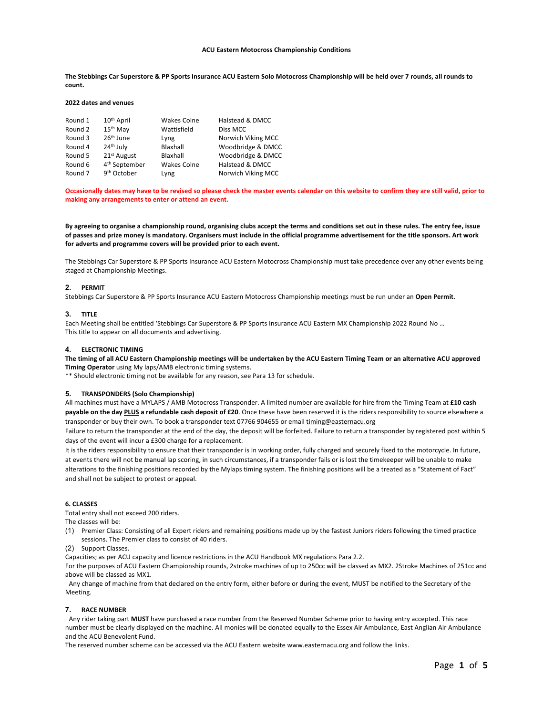### **ACU Eastern Motocross Championship Conditions**

**The Stebbings Car Superstore & PP Sports Insurance ACU Eastern Solo Motocross Championship will be held over 7 rounds, all rounds to count.**

### **2022 dates and venues**

| Round 1 | 10 <sup>th</sup> April    | <b>Wakes Colne</b> | Halstead & DMCC    |
|---------|---------------------------|--------------------|--------------------|
| Round 2 | 15 <sup>th</sup> May      | Wattisfield        | Diss MCC           |
| Round 3 | 26 <sup>th</sup> June     | Lyng               | Norwich Viking MCC |
| Round 4 | 24 <sup>th</sup> July     | Blaxhall           | Woodbridge & DMCC  |
| Round 5 | 21 <sup>st</sup> August   | Blaxhall           | Woodbridge & DMCC  |
| Round 6 | 4 <sup>th</sup> September | <b>Wakes Colne</b> | Halstead & DMCC    |
| Round 7 | 9 <sup>th</sup> October   | Lyng               | Norwich Viking MCC |

**Occasionally dates may have to be revised so please check the master events calendar on this website to confirm they are still valid, prior to making any arrangements to enter or attend an event.**

**By agreeing to organise a championship round, organising clubs accept the terms and conditions set out in these rules. The entry fee, issue of passes and prize money is mandatory. Organisers must include in the official programme advertisement for the title sponsors. Art work for adverts and programme covers will be provided prior to each event.**

The Stebbings Car Superstore & PP Sports Insurance ACU Eastern Motocross Championship must take precedence over any other events being staged at Championship Meetings.

#### **2. PERMIT**

Stebbings Car Superstore & PP Sports Insurance ACU Eastern Motocross Championship meetings must be run under an **Open Permit**.

#### **3. TITLE**

Each Meeting shall be entitled 'Stebbings Car Superstore & PP Sports Insurance ACU Eastern MX Championship 2022 Round No … This title to appear on all documents and advertising.

#### **4. ELECTRONIC TIMING**

**The timing of all ACU Eastern Championship meetings will be undertaken by the ACU Eastern Timing Team or an alternative ACU approved Timing Operator** using My laps/AMB electronic timing systems.

\*\* Should electronic timing not be available for any reason, see Para 13 for schedule.

### **5. TRANSPONDERS (Solo Championship)**

All machines must have a MYLAPS / AMB Motocross Transponder. A limited number are available for hire from the Timing Team at **£10 cash payable on the day PLUS a refundable cash deposit of £20**. Once these have been reserved it is the riders responsibility to source elsewhere a transponder or buy their own. To book a transponder text 07766 904655 or email timing@easternacu.org

Failure to return the transponder at the end of the day, the deposit will be forfeited. Failure to return a transponder by registered post within 5 days of the event will incur a £300 charge for a replacement.

It is the riders responsibility to ensure that their transponder is in working order, fully charged and securely fixed to the motorcycle. In future, at events there will not be manual lap scoring, in such circumstances, if a transponder fails or is lost the timekeeper will be unable to make alterations to the finishing positions recorded by the Mylaps timing system. The finishing positions will be a treated as a "Statement of Fact" and shall not be subject to protest or appeal.

#### **6. CLASSES**

Total entry shall not exceed 200 riders.

The classes will be:

- (1) Premier Class: Consisting of all Expert riders and remaining positions made up by the fastest Juniors riders following the timed practice sessions. The Premier class to consist of 40 riders.
- (2) Support Classes.

Capacities; as per ACU capacity and licence restrictions in the ACU Handbook MX regulations Para 2.2.

For the purposes of ACU Eastern Championship rounds, 2stroke machines of up to 250cc will be classed as MX2. 2Stroke Machines of 251cc and above will be classed as MX1.

Any change of machine from that declared on the entry form, either before or during the event, MUST be notified to the Secretary of the Meeting.

### **7. RACE NUMBER**

Any rider taking part **MUST** have purchased a race number from the Reserved Number Scheme prior to having entry accepted. This race number must be clearly displayed on the machine. All monies will be donated equally to the Essex Air Ambulance, East Anglian Air Ambulance and the ACU Benevolent Fund.

The reserved number scheme can be accessed via the ACU Eastern website www.easternacu.org and follow the links.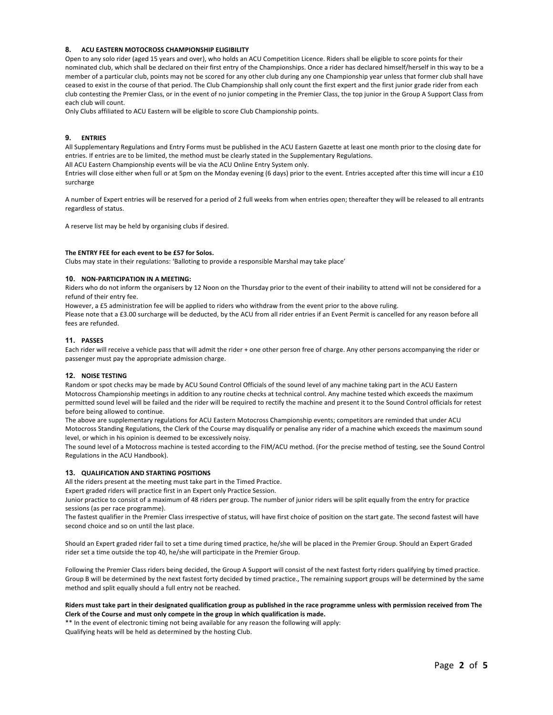# **8. ACU EASTERN MOTOCROSS CHAMPIONSHIP ELIGIBILITY**

Open to any solo rider (aged 15 years and over), who holds an ACU Competition Licence. Riders shall be eligible to score points for their nominated club, which shall be declared on their first entry of the Championships. Once a rider has declared himself/herself in this way to be a member of a particular club, points may not be scored for any other club during any one Championship year unless that former club shall have ceased to exist in the course of that period. The Club Championship shall only count the first expert and the first junior grade rider from each club contesting the Premier Class, or in the event of no junior competing in the Premier Class, the top junior in the Group A Support Class from each club will count.

Only Clubs affiliated to ACU Eastern will be eligible to score Club Championship points.

### **9. ENTRIES**

All Supplementary Regulations and Entry Forms must be published in the ACU Eastern Gazette at least one month prior to the closing date for entries. If entries are to be limited, the method must be clearly stated in the Supplementary Regulations.

All ACU Eastern Championship events will be via the ACU Online Entry System only.

Entries will close either when full or at 5pm on the Monday evening (6 days) prior to the event. Entries accepted after this time will incur a £10 surcharge

A number of Expert entries will be reserved for a period of 2 full weeks from when entries open; thereafter they will be released to all entrants regardless of status.

A reserve list may be held by organising clubs if desired.

### **The ENTRY FEE for each event to be £57 for Solos.**

Clubs may state in their regulations: 'Balloting to provide a responsible Marshal may take place'

### **10. NON-PARTICIPATION IN A MEETING:**

Riders who do not inform the organisers by 12 Noon on the Thursday prior to the event of their inability to attend will not be considered for a refund of their entry fee.

However, a £5 administration fee will be applied to riders who withdraw from the event prior to the above ruling.

Please note that a £3.00 surcharge will be deducted, by the ACU from all rider entries if an Event Permit is cancelled for any reason before all fees are refunded.

### **11. PASSES**

Each rider will receive a vehicle pass that will admit the rider + one other person free of charge. Any other persons accompanying the rider or passenger must pay the appropriate admission charge.

# **12. NOISE TESTING**

Random or spot checks may be made by ACU Sound Control Officials of the sound level of any machine taking part in the ACU Eastern Motocross Championship meetings in addition to any routine checks at technical control. Any machine tested which exceeds the maximum permitted sound level will be failed and the rider will be required to rectify the machine and present it to the Sound Control officials for retest before being allowed to continue.

The above are supplementary regulations for ACU Eastern Motocross Championship events; competitors are reminded that under ACU Motocross Standing Regulations, the Clerk of the Course may disqualify or penalise any rider of a machine which exceeds the maximum sound level, or which in his opinion is deemed to be excessively noisy.

The sound level of a Motocross machine is tested according to the FIM/ACU method. (For the precise method of testing, see the Sound Control Regulations in the ACU Handbook).

# **13. QUALIFICATION AND STARTING POSITIONS**

All the riders present at the meeting must take part in the Timed Practice.

Expert graded riders will practice first in an Expert only Practice Session.

Junior practice to consist of a maximum of 48 riders per group. The number of junior riders will be split equally from the entry for practice sessions (as per race programme).

The fastest qualifier in the Premier Class irrespective of status, will have first choice of position on the start gate. The second fastest will have second choice and so on until the last place.

Should an Expert graded rider fail to set a time during timed practice, he/she will be placed in the Premier Group. Should an Expert Graded rider set a time outside the top 40, he/she will participate in the Premier Group.

Following the Premier Class riders being decided, the Group A Support will consist of the next fastest forty riders qualifying by timed practice. Group B will be determined by the next fastest forty decided by timed practice., The remaining support groups will be determined by the same method and split equally should a full entry not be reached.

### **Riders must take part in their designated qualification group as published in the race programme unless with permission received from The Clerk of the Course and must only compete in the group in which qualification is made.**

\*\* In the event of electronic timing not being available for any reason the following will apply: Qualifying heats will be held as determined by the hosting Club.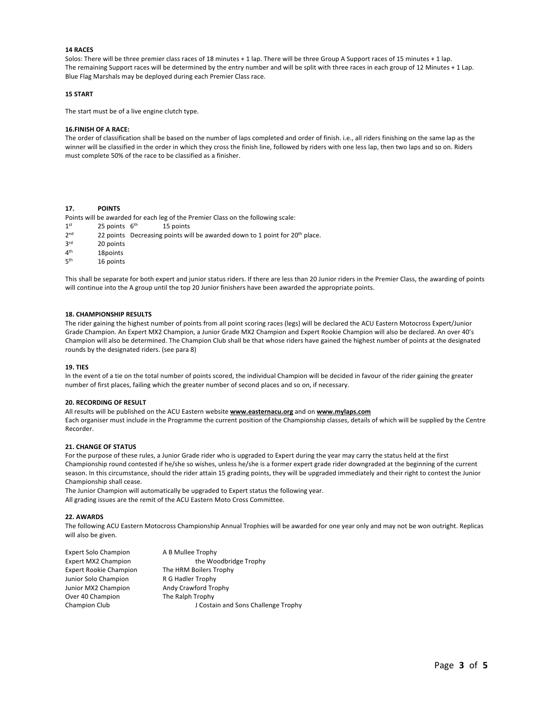# **14 RACES**

Solos: There will be three premier class races of 18 minutes + 1 lap. There will be three Group A Support races of 15 minutes + 1 lap. The remaining Support races will be determined by the entry number and will be split with three races in each group of 12 Minutes + 1 Lap. Blue Flag Marshals may be deployed during each Premier Class race.

### **15 START**

The start must be of a live engine clutch type.

# **16.FINISH OF A RACE:**

The order of classification shall be based on the number of laps completed and order of finish. i.e., all riders finishing on the same lap as the winner will be classified in the order in which they cross the finish line, followed by riders with one less lap, then two laps and so on. Riders must complete 50% of the race to be classified as a finisher.

# **17. POINTS**

Points will be awarded for each leg of the Premier Class on the following scale:

- $1<sup>st</sup>$  25 points  $6<sup>th</sup>$  15 points
- 2<sup>nd</sup> 22 points Decreasing points will be awarded down to 1 point for 20<sup>th</sup> place.
- $3<sup>rd</sup>$  20 points<br> $4<sup>th</sup>$  18 points
- $4<sup>th</sup>$  18 points<br>5<sup>th</sup> 16 points
- 16 points

This shall be separate for both expert and junior status riders. If there are less than 20 Junior riders in the Premier Class, the awarding of points will continue into the A group until the top 20 Junior finishers have been awarded the appropriate points.

### **18. CHAMPIONSHIP RESULTS**

The rider gaining the highest number of points from all point scoring races (legs) will be declared the ACU Eastern Motocross Expert/Junior Grade Champion. An Expert MX2 Champion, a Junior Grade MX2 Champion and Expert Rookie Champion will also be declared. An over 40's Champion will also be determined. The Champion Club shall be that whose riders have gained the highest number of points at the designated rounds by the designated riders. (see para 8)

#### **19. TIES**

In the event of a tie on the total number of points scored, the individual Champion will be decided in favour of the rider gaining the greater number of first places, failing which the greater number of second places and so on, if necessary.

#### **20. RECORDING OF RESULT**

All results will be published on the ACU Eastern website **www.easternacu.org** and on **www.mylaps.com**

Each organiser must include in the Programme the current position of the Championship classes, details of which will be supplied by the Centre Recorder.

# **21. CHANGE OF STATUS**

For the purpose of these rules, a Junior Grade rider who is upgraded to Expert during the year may carry the status held at the first Championship round contested if he/she so wishes, unless he/she is a former expert grade rider downgraded at the beginning of the current season. In this circumstance, should the rider attain 15 grading points, they will be upgraded immediately and their right to contest the Junior Championship shall cease.

The Junior Champion will automatically be upgraded to Expert status the following year. All grading issues are the remit of the ACU Eastern Moto Cross Committee.

### **22. AWARDS**

The following ACU Eastern Motocross Championship Annual Trophies will be awarded for one year only and may not be won outright. Replicas will also be given.

| <b>Expert Solo Champion</b>   | A B Mullee Trophy                   |
|-------------------------------|-------------------------------------|
| <b>Expert MX2 Champion</b>    | the Woodbridge Trophy               |
| <b>Expert Rookie Champion</b> | The HRM Boilers Trophy              |
| Junior Solo Champion          | R G Hadler Trophy                   |
| Junior MX2 Champion           | Andy Crawford Trophy                |
| Over 40 Champion              | The Ralph Trophy                    |
| Champion Club                 | J Costain and Sons Challenge Trophy |
|                               |                                     |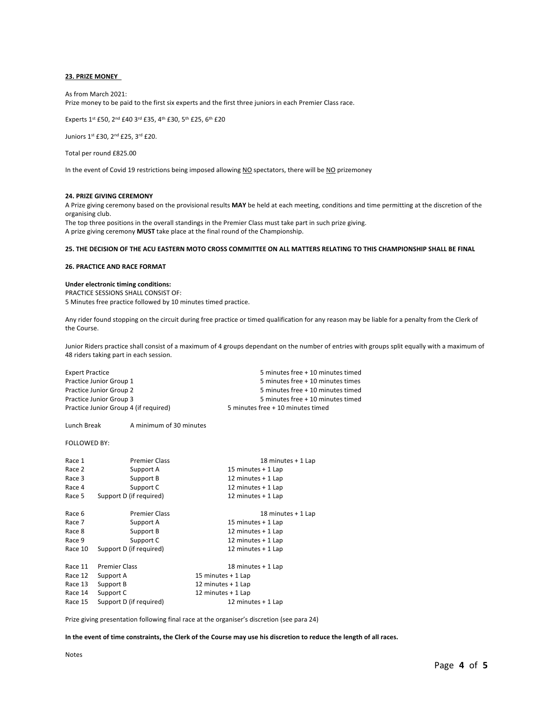### **23. PRIZE MONEY**

As from March 2021:

Prize money to be paid to the first six experts and the first three juniors in each Premier Class race.

Experts 1st £50, 2nd £40 3rd £35, 4th £30, 5th £25, 6th £20

Juniors 1st £30, 2nd £25, 3rd £20.

Total per round £825.00

In the event of Covid 19 restrictions being imposed allowing NO spectators, there will be NO prizemoney

### **24. PRIZE GIVING CEREMONY**

A Prize giving ceremony based on the provisional results **MAY** be held at each meeting, conditions and time permitting at the discretion of the organising club.

The top three positions in the overall standings in the Premier Class must take part in such prize giving. A prize giving ceremony **MUST** take place at the final round of the Championship.

# **25. THE DECISION OF THE ACU EASTERN MOTO CROSS COMMITTEE ON ALL MATTERS RELATING TO THIS CHAMPIONSHIP SHALL BE FINAL**

#### **26. PRACTICE AND RACE FORMAT**

## **Under electronic timing conditions:**

PRACTICE SESSIONS SHALL CONSIST OF: 5 Minutes free practice followed by 10 minutes timed practice.

Any rider found stopping on the circuit during free practice or timed qualification for any reason may be liable for a penalty from the Clerk of the Course.

Junior Riders practice shall consist of a maximum of 4 groups dependant on the number of entries with groups split equally with a maximum of 48 riders taking part in each session.

| <b>Expert Practice</b>                | 5 minutes free + 10 minutes timed |
|---------------------------------------|-----------------------------------|
| Practice Junior Group 1               | 5 minutes free + 10 minutes times |
| Practice Junior Group 2               | 5 minutes free + 10 minutes timed |
| Practice Junior Group 3               | 5 minutes free + 10 minutes timed |
| Practice Junior Group 4 (if required) | 5 minutes free + 10 minutes timed |

#### Lunch Break A minimum of 30 minutes

### FOLLOWED BY:

| Race 1  | <b>Premier Class</b>    | 18 minutes + 1 Lap  |
|---------|-------------------------|---------------------|
| Race 2  | Support A               | 15 minutes + 1 Lap  |
| Race 3  | Support B               | 12 minutes + 1 Lap  |
| Race 4  | Support C               | 12 minutes $+1$ Lap |
| Race 5  | Support D (if required) | 12 minutes $+1$ Lap |
| Race 6  | <b>Premier Class</b>    | 18 minutes + 1 Lap  |
| Race 7  | Support A               | 15 minutes + 1 Lap  |
| Race 8  | Support B               | 12 minutes + 1 Lap  |
| Race 9  | Support C               | 12 minutes + 1 Lap  |
| Race 10 | Support D (if required) | 12 minutes $+1$ Lap |
| Race 11 | <b>Premier Class</b>    | 18 minutes + 1 Lap  |
| Race 12 | Support A               | 15 minutes + 1 Lap  |
| Race 13 | Support B               | 12 minutes + 1 Lap  |
| Race 14 | Support C               | 12 minutes $+1$ Lap |
| Race 15 | Support D (if required) | 12 minutes + 1 Lap  |

Prize giving presentation following final race at the organiser's discretion (see para 24)

**In the event of time constraints, the Clerk of the Course may use his discretion to reduce the length of all races.**

Notes